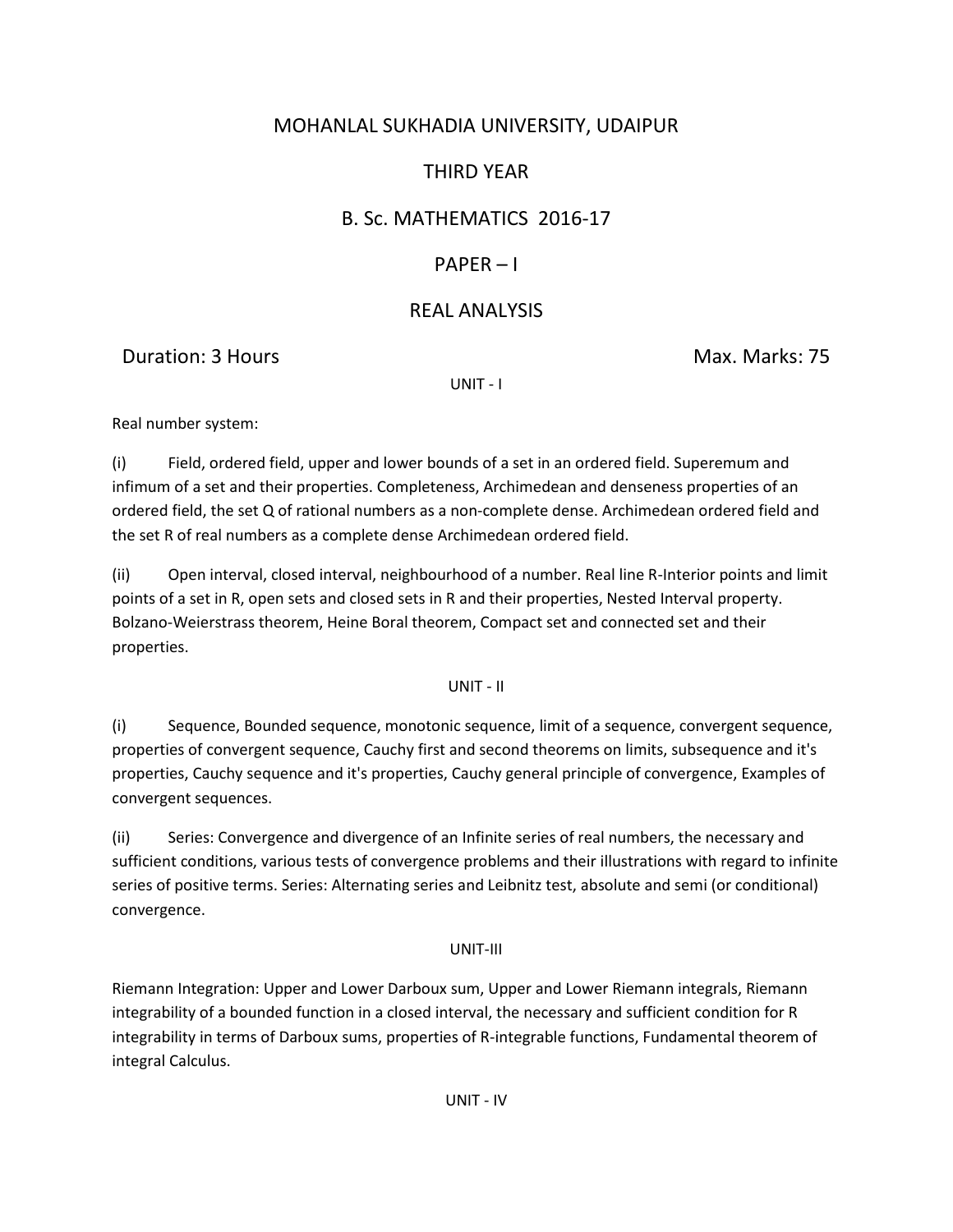# MOHANLAL SUKHADIA UNIVERSITY, UDAIPUR

# THIRD YEAR

## B. Sc. MATHEMATICS 2016-17

## PAPER – I

### REAL ANALYSIS

### Duration: 3 Hours Max. Marks: 75

UNIT - I

Real number system:

(i) Field, ordered field, upper and lower bounds of a set in an ordered field. Superemum and infimum of a set and their properties. Completeness, Archimedean and denseness properties of an ordered field, the set Q of rational numbers as a non-complete dense. Archimedean ordered field and the set R of real numbers as a complete dense Archimedean ordered field.

(ii) Open interval, closed interval, neighbourhood of a number. Real line R-Interior points and limit points of a set in R, open sets and closed sets in R and their properties, Nested Interval property. Bolzano-Weierstrass theorem, Heine Boral theorem, Compact set and connected set and their properties.

UNIT - II

(i) Sequence, Bounded sequence, monotonic sequence, limit of a sequence, convergent sequence, properties of convergent sequence, Cauchy first and second theorems on limits, subsequence and it's properties, Cauchy sequence and it's properties, Cauchy general principle of convergence, Examples of convergent sequences.

(ii) Series: Convergence and divergence of an Infinite series of real numbers, the necessary and sufficient conditions, various tests of convergence problems and their illustrations with regard to infinite series of positive terms. Series: Alternating series and Leibnitz test, absolute and semi (or conditional) convergence.

#### UNIT-III

Riemann Integration: Upper and Lower Darboux sum, Upper and Lower Riemann integrals, Riemann integrability of a bounded function in a closed interval, the necessary and sufficient condition for R integrability in terms of Darboux sums, properties of R-integrable functions, Fundamental theorem of integral Calculus.